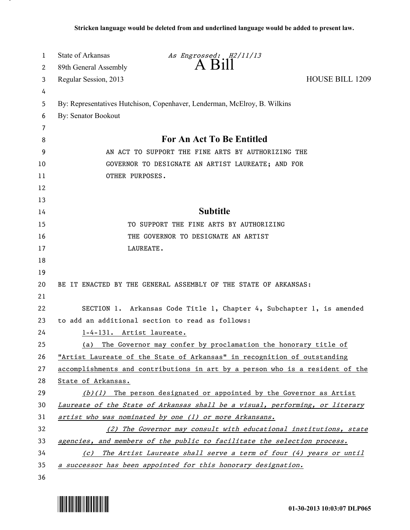| 1  | <b>State of Arkansas</b>                                              | As Engrossed: H2/11/13                                                        |                        |  |
|----|-----------------------------------------------------------------------|-------------------------------------------------------------------------------|------------------------|--|
| 2  | 89th General Assembly                                                 | $A$ $B$ <sub>1</sub> $\parallel$                                              |                        |  |
| 3  | Regular Session, 2013                                                 |                                                                               | <b>HOUSE BILL 1209</b> |  |
| 4  |                                                                       |                                                                               |                        |  |
| 5  |                                                                       | By: Representatives Hutchison, Copenhaver, Lenderman, McElroy, B. Wilkins     |                        |  |
| 6  | By: Senator Bookout                                                   |                                                                               |                        |  |
| 7  |                                                                       |                                                                               |                        |  |
| 8  | <b>For An Act To Be Entitled</b>                                      |                                                                               |                        |  |
| 9  | AN ACT TO SUPPORT THE FINE ARTS BY AUTHORIZING THE                    |                                                                               |                        |  |
| 10 | GOVERNOR TO DESIGNATE AN ARTIST LAUREATE; AND FOR                     |                                                                               |                        |  |
| 11 | OTHER PURPOSES.                                                       |                                                                               |                        |  |
| 12 |                                                                       |                                                                               |                        |  |
| 13 |                                                                       |                                                                               |                        |  |
| 14 |                                                                       | <b>Subtitle</b>                                                               |                        |  |
| 15 |                                                                       | TO SUPPORT THE FINE ARTS BY AUTHORIZING                                       |                        |  |
| 16 |                                                                       | THE GOVERNOR TO DESIGNATE AN ARTIST                                           |                        |  |
| 17 |                                                                       | LAUREATE.                                                                     |                        |  |
| 18 |                                                                       |                                                                               |                        |  |
| 19 |                                                                       |                                                                               |                        |  |
| 20 | BE IT ENACTED BY THE GENERAL ASSEMBLY OF THE STATE OF ARKANSAS:       |                                                                               |                        |  |
| 21 |                                                                       |                                                                               |                        |  |
| 22 |                                                                       | SECTION 1. Arkansas Code Title 1, Chapter 4, Subchapter 1, is amended         |                        |  |
| 23 | to add an additional section to read as follows:                      |                                                                               |                        |  |
| 24 | 1-4-131. Artist laureate.                                             |                                                                               |                        |  |
| 25 |                                                                       | (a) The Governor may confer by proclamation the honorary title of             |                        |  |
| 26 |                                                                       | "Artist Laureate of the State of Arkansas" in recognition of outstanding      |                        |  |
| 27 |                                                                       | accomplishments and contributions in art by a person who is a resident of the |                        |  |
| 28 | State of Arkansas.                                                    |                                                                               |                        |  |
| 29 |                                                                       | $(b)(1)$ The person designated or appointed by the Governor as Artist         |                        |  |
| 30 |                                                                       | Laureate of the State of Arkansas shall be a visual, performing, or literary  |                        |  |
| 31 |                                                                       | artist who was nominated by one (1) or more Arkansans.                        |                        |  |
| 32 | (2) The Governor may consult with educational institutions, state     |                                                                               |                        |  |
| 33 |                                                                       | agencies, and members of the public to facilitate the selection process.      |                        |  |
| 34 | (c) The Artist Laureate shall serve a term of four (4) years or until |                                                                               |                        |  |
| 35 |                                                                       | a successor has been appointed for this honorary designation.                 |                        |  |
| 36 |                                                                       |                                                                               |                        |  |



.